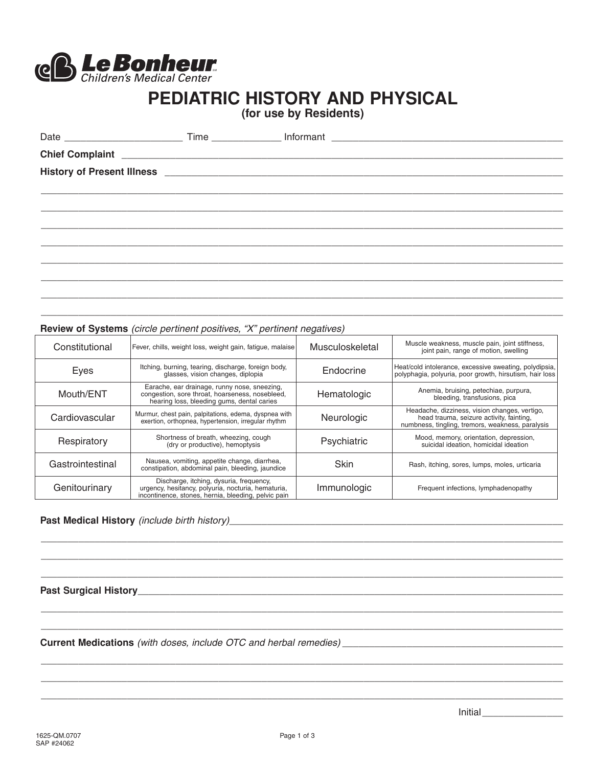

# **PEDIATRIC HISTORY AND PHYSICAL**

**(for use by Residents)**

|  | History of Present Illness <b>with the control of the control of the control of the control of the control of the control of the control of the control of the control of the control of the control of the control of the contr</b> |
|--|--------------------------------------------------------------------------------------------------------------------------------------------------------------------------------------------------------------------------------------|
|  |                                                                                                                                                                                                                                      |
|  |                                                                                                                                                                                                                                      |
|  |                                                                                                                                                                                                                                      |
|  |                                                                                                                                                                                                                                      |
|  |                                                                                                                                                                                                                                      |
|  |                                                                                                                                                                                                                                      |
|  |                                                                                                                                                                                                                                      |
|  |                                                                                                                                                                                                                                      |

 $\_$  , and the set of the set of the set of the set of the set of the set of the set of the set of the set of the set of the set of the set of the set of the set of the set of the set of the set of the set of the set of th

#### **Review of Systems** (circle pertinent positives, "X" pertinent negatives)

| Constitutional   | Fever, chills, weight loss, weight gain, fatigue, malaise                                                                                            | Musculoskeletal | Muscle weakness, muscle pain, joint stiffness,<br>joint pain, range of motion, swelling                                                       |
|------------------|------------------------------------------------------------------------------------------------------------------------------------------------------|-----------------|-----------------------------------------------------------------------------------------------------------------------------------------------|
| Eyes             | Itching, burning, tearing, discharge, foreign body,<br>glasses, vision changes, diplopia                                                             | Endocrine       | Heat/cold intolerance, excessive sweating, polydipsia,<br>polyphagia, polyuria, poor growth, hirsutism, hair loss                             |
| Mouth/ENT        | Earache, ear drainage, runny nose, sneezing,<br>congestion, sore throat, hoarseness, nosebleed,<br>hearing loss, bleeding gums, dental caries        | Hematologic     | Anemia, bruising, petechiae, purpura,<br>bleeding, transfusions, pica                                                                         |
| Cardiovascular   | Murmur, chest pain, palpitations, edema, dyspnea with<br>exertion, orthopnea, hypertension, irregular rhythm                                         | Neurologic      | Headache, dizziness, vision changes, vertigo,<br>head trauma, seizure activity, fainting,<br>numbness, tingling, tremors, weakness, paralysis |
| Respiratory      | Shortness of breath, wheezing, cough<br>(dry or productive), hemoptysis                                                                              | Psychiatric     | Mood, memory, orientation, depression,<br>suicidal ideation. homicidal ideation                                                               |
| Gastrointestinal | Nausea, vomiting, appetite change, diarrhea,<br>constipation, abdominal pain, bleeding, jaundice                                                     | <b>Skin</b>     | Rash, itching, sores, lumps, moles, urticaria                                                                                                 |
| Genitourinary    | Discharge, itching, dysuria, frequency,<br>urgency, hesitancy, polyuria, nocturia, hematuria,<br>incontinence, stones, hernia, bleeding, pelvic pain | Immunologic     | Frequent infections, lymphadenopathy                                                                                                          |

 $\_$  , and the set of the set of the set of the set of the set of the set of the set of the set of the set of the set of the set of the set of the set of the set of the set of the set of the set of the set of the set of th  $\_$  , and the set of the set of the set of the set of the set of the set of the set of the set of the set of the set of the set of the set of the set of the set of the set of the set of the set of the set of the set of th  $\_$  , and the set of the set of the set of the set of the set of the set of the set of the set of the set of the set of the set of the set of the set of the set of the set of the set of the set of the set of the set of th

 $\_$  , and the set of the set of the set of the set of the set of the set of the set of the set of the set of the set of the set of the set of the set of the set of the set of the set of the set of the set of the set of th  $\_$  , and the set of the set of the set of the set of the set of the set of the set of the set of the set of the set of the set of the set of the set of the set of the set of the set of the set of the set of the set of th

 $\_$  , and the set of the set of the set of the set of the set of the set of the set of the set of the set of the set of the set of the set of the set of the set of the set of the set of the set of the set of the set of th  $\_$  , and the set of the set of the set of the set of the set of the set of the set of the set of the set of the set of the set of the set of the set of the set of the set of the set of the set of the set of the set of th  $\_$  , and the set of the set of the set of the set of the set of the set of the set of the set of the set of the set of the set of the set of the set of the set of the set of the set of the set of the set of the set of th

### **Past Medical History** (include birth history)\_\_\_\_\_\_\_\_\_\_\_\_\_\_\_\_\_\_\_\_\_\_\_\_\_\_\_\_\_\_\_\_\_\_\_\_\_\_\_\_\_\_\_\_\_\_\_\_\_\_\_\_\_\_\_\_\_\_\_\_\_\_

Past Surgical History\_\_\_\_

**Current Medications** (with doses, include OTC and herbal remedies) \_\_\_\_\_\_\_\_\_\_\_\_\_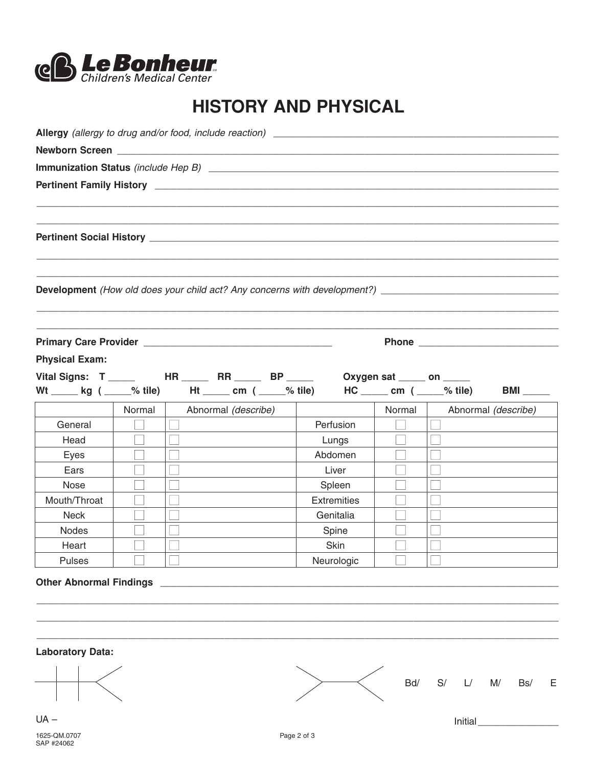

## **HISTORY AND PHYSICAL**

|                       |        |                     | Development (How old does your child act? Any concerns with development?) ___________________________________ |        |                     |
|-----------------------|--------|---------------------|---------------------------------------------------------------------------------------------------------------|--------|---------------------|
|                       |        |                     |                                                                                                               |        |                     |
| <b>Physical Exam:</b> |        |                     |                                                                                                               |        |                     |
|                       |        |                     | Vital Signs: T ______ HR _____ RR _____ BP _____ Oxygen sat ____ on ____                                      |        |                     |
|                       |        |                     | Wt _____ kg ( ____% tile) Ht _____ cm ( ____% tile) HC _____ cm ( ____% tile)                                 |        |                     |
|                       | Normal | Abnormal (describe) |                                                                                                               | Normal | Abnormal (describe) |
| General               |        |                     | Perfusion                                                                                                     |        |                     |
| Head                  |        |                     | Lungs                                                                                                         |        |                     |
| Eyes                  |        |                     | Abdomen                                                                                                       |        |                     |
| Ears                  |        |                     | Liver                                                                                                         |        |                     |
| Nose                  |        |                     | Spleen                                                                                                        |        |                     |
|                       |        |                     | <b>Extremities</b>                                                                                            |        |                     |
| Mouth/Throat          |        |                     |                                                                                                               |        |                     |
| <b>Neck</b>           |        |                     | Genitalia                                                                                                     |        |                     |
| Nodes                 |        |                     | Spine                                                                                                         |        |                     |
| Heart                 |        |                     | Skin                                                                                                          |        |                     |

Initial